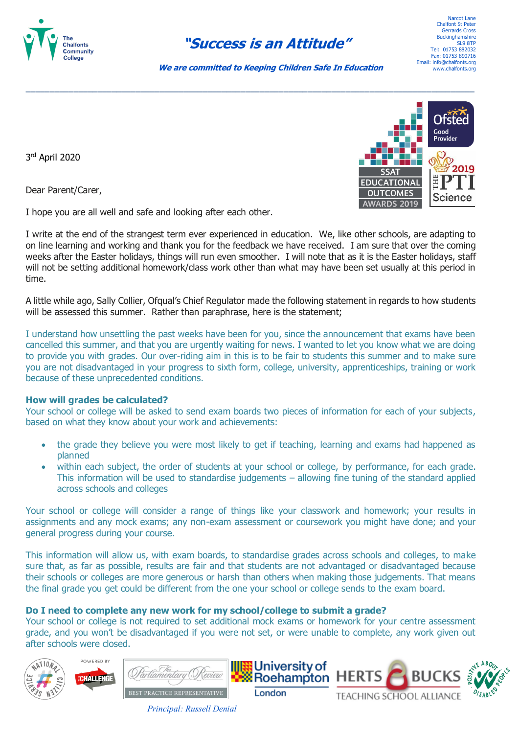

# **"Success is an Attitude"**

Narcot Lane Chalfont St Pete Gerrards Cross **Buckinghamshire** SL9 8TP Tel: 01753 882032 Fax: 01753 890716 Email: info@chalfonts.org www.chalfonts.org

 **We are committed to Keeping Children Safe In Education**

\_\_\_\_\_\_\_\_\_\_\_\_\_\_\_\_\_\_\_\_\_\_\_\_\_\_\_\_\_\_\_\_\_\_\_\_\_\_\_\_\_\_\_\_\_\_\_\_\_\_\_\_\_\_\_\_\_\_\_\_\_\_\_\_\_\_\_\_\_\_\_\_\_\_\_\_\_\_\_\_\_\_\_\_\_\_\_\_\_\_\_\_\_\_

3 rd April 2020

Dear Parent/Carer,

I hope you are all well and safe and looking after each other.

I write at the end of the strangest term ever experienced in education. We, like other schools, are adapting to on line learning and working and thank you for the feedback we have received. I am sure that over the coming weeks after the Easter holidays, things will run even smoother. I will note that as it is the Easter holidays, staff will not be setting additional homework/class work other than what may have been set usually at this period in time.

A little while ago, Sally Collier, Ofqual's Chief Regulator made the following statement in regards to how students will be assessed this summer. Rather than paraphrase, here is the statement;

I understand how unsettling the past weeks have been for you, since the announcement that exams have been cancelled this summer, and that you are urgently waiting for news. I wanted to let you know what we are doing to provide you with grades. Our over-riding aim in this is to be fair to students this summer and to make sure you are not disadvantaged in your progress to sixth form, college, university, apprenticeships, training or work because of these unprecedented conditions.

## **How will grades be calculated?**

Your school or college will be asked to send exam boards two pieces of information for each of your subjects, based on what they know about your work and achievements:

- the grade they believe you were most likely to get if teaching, learning and exams had happened as planned
- within each subject, the order of students at your school or college, by performance, for each grade. This information will be used to standardise judgements – allowing fine tuning of the standard applied across schools and colleges

Your school or college will consider a range of things like your classwork and homework; your results in assignments and any mock exams; any non-exam assessment or coursework you might have done; and your general progress during your course.

This information will allow us, with exam boards, to standardise grades across schools and colleges, to make sure that, as far as possible, results are fair and that students are not advantaged or disadvantaged because their schools or colleges are more generous or harsh than others when making those judgements. That means the final grade you get could be different from the one your school or college sends to the exam board.

# **Do I need to complete any new work for my school/college to submit a grade?**

Your school or college is not required to set additional mock exams or homework for your centre assessment grade, and you won't be disadvantaged if you were not set, or were unable to complete, any work given out after schools were closed.





*Principal: Russell Denial*